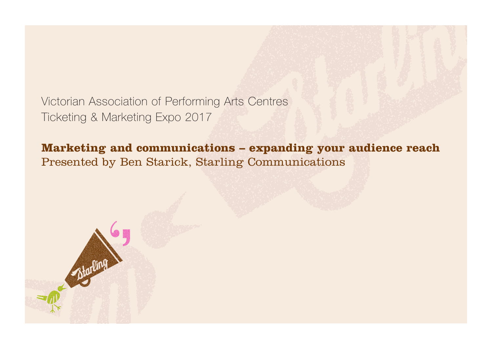Victorian Association of Performing Arts Centres Ticketing & Marketing Expo 2017

## **Marketing and communications – expanding your audience reach** Presented by Ben Starick, Starling Communications

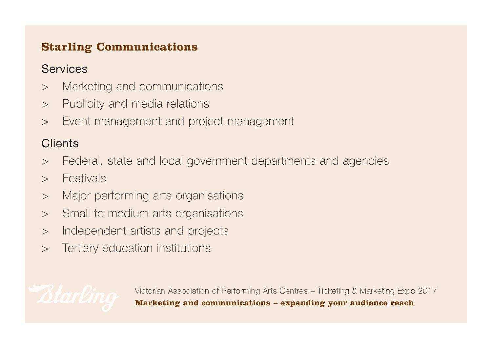## **Starling Communications**

## **Services**

- > Marketing and communications
- > Publicity and media relations
- > Event management and project management

## **Clients**

- > Federal, state and local government departments and agencies
- > Festivals
- > Major performing arts organisations
- > Small to medium arts organisations
- > Independent artists and projects
- > Tertiary education institutions

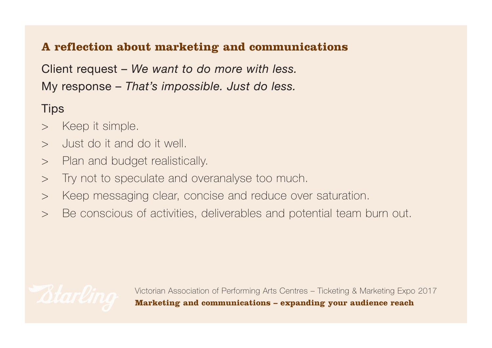## **A reflection about marketing and communications**

Client request – *We want to do more with less.* My response – *That's impossible. Just do less.* 

# **Tips**

- > Keep it simple.
- > Just do it and do it well.
- > Plan and budget realistically.
- > Try not to speculate and overanalyse too much.
- > Keep messaging clear, concise and reduce over saturation.
- > Be conscious of activities, deliverables and potential team burn out.

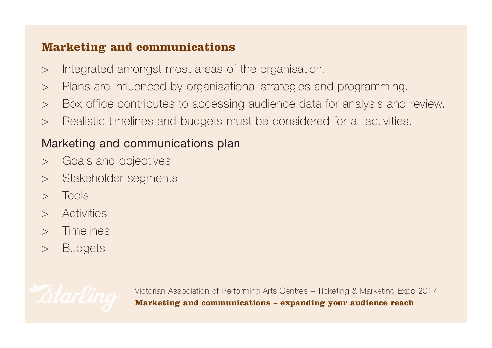#### **Marketing and communications**

- > Integrated amongst most areas of the organisation.
- > Plans are influenced by organisational strategies and programming.
- > Box office contributes to accessing audience data for analysis and review.
- > Realistic timelines and budgets must be considered for all activities.

# Marketing and communications plan

- > Goals and objectives
- > Stakeholder segments
- > Tools
- > Activities
- > Timelines
- > Budgets

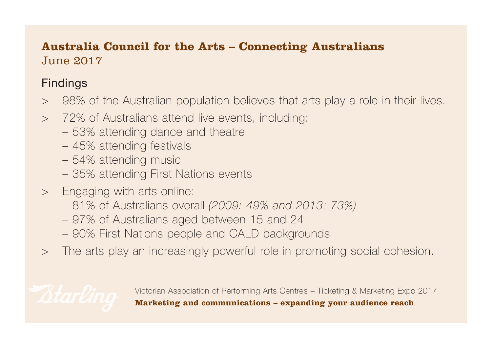## **Australia Council for the Arts – Connecting Australians**  June 2017

# Findings

- > 98% of the Australian population believes that arts play a role in their lives.
- > 72% of Australians attend live events, including:
	- 53% attending dance and theatre
	- 45% attending festivals
	- 54% attending music
	- 35% attending First Nations events
- > Engaging with arts online:
	- 81% of Australians overall *(2009: 49% and 2013: 73%)*
	- 97% of Australians aged between 15 and 24
	- 90% First Nations people and CALD backgrounds
- > The arts play an increasingly powerful role in promoting social cohesion.